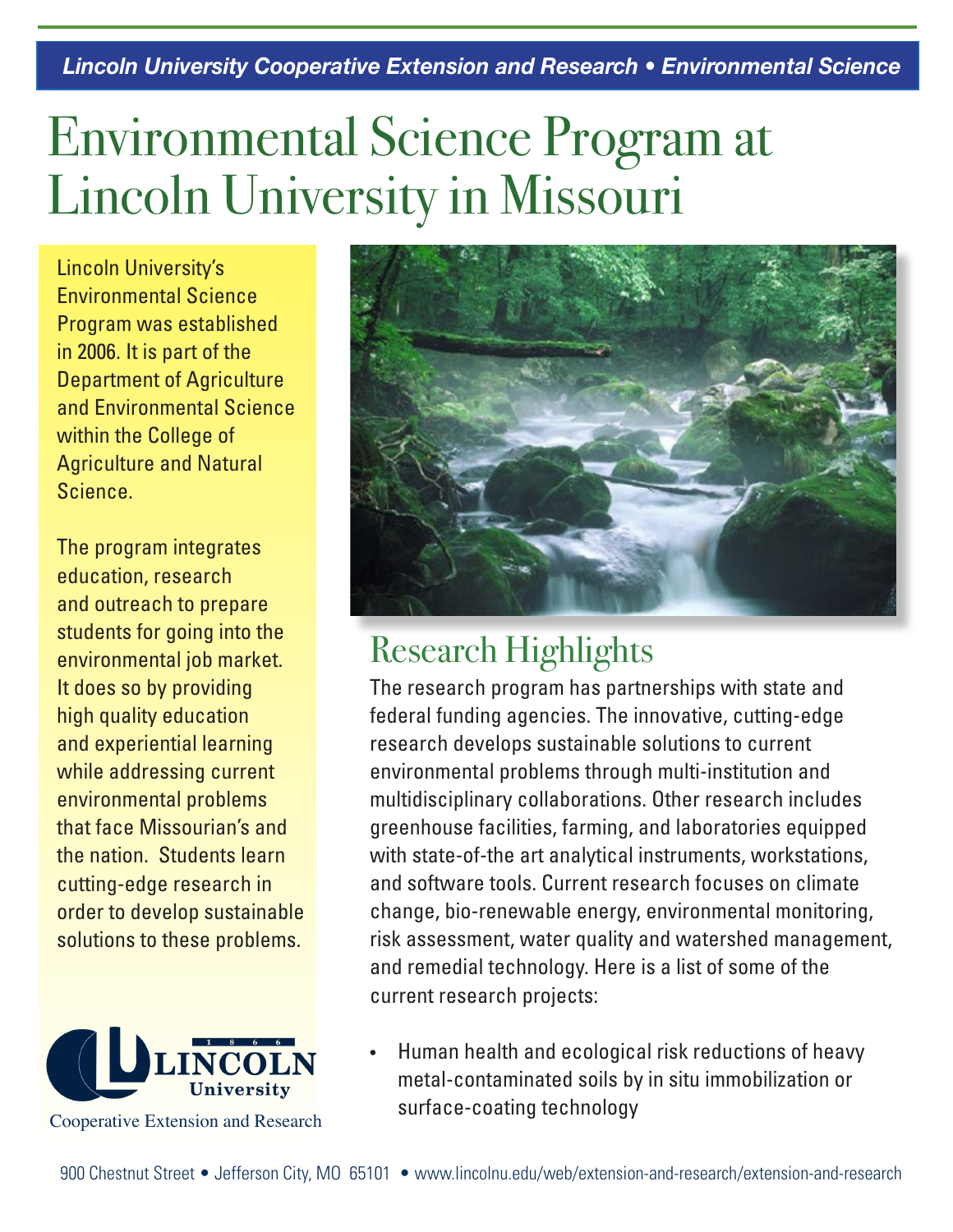*Lincoln University Cooperative Extension and Research • Environmental Science*

## Environmental Science Program at Lincoln University in Missouri

Lincoln University's Environmental Science Program was established in 2006. It is part of the Department of Agriculture and Environmental Science within the College of Agriculture and Natural Science.

The program integrates education, research and outreach to prepare students for going into the environmental job market. It does so by providing high quality education and experiential learning while addressing current environmental problems that face Missourian's and the nation. Students learn cutting-edge research in order to develop sustainable solutions to these problems.





## Research Highlights

The research program has partnerships with state and federal funding agencies. The innovative, cutting-edge research develops sustainable solutions to current environmental problems through multi-institution and multidisciplinary collaborations. Other research includes greenhouse facilities, farming, and laboratories equipped with state-of-the art analytical instruments, workstations, and software tools. Current research focuses on climate change, bio-renewable energy, environmental monitoring, risk assessment, water quality and watershed management, and remedial technology. Here is a list of some of the current research projects:

Human health and ecological risk reductions of heavy metal-contaminated soils by in situ immobilization or surface-coating technology